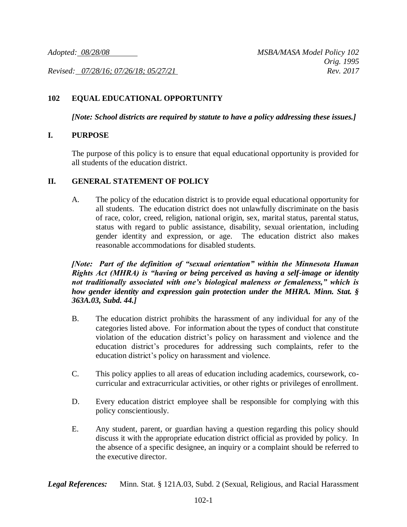*Revised: 07/28/16; 07/26/18; 05/27/21 Rev. 2017*

## **102 EQUAL EDUCATIONAL OPPORTUNITY**

*[Note: School districts are required by statute to have a policy addressing these issues.]*

## **I. PURPOSE**

The purpose of this policy is to ensure that equal educational opportunity is provided for all students of the education district.

## **II. GENERAL STATEMENT OF POLICY**

A. The policy of the education district is to provide equal educational opportunity for all students. The education district does not unlawfully discriminate on the basis of race, color, creed, religion, national origin, sex, marital status, parental status, status with regard to public assistance, disability, sexual orientation, including gender identity and expression, or age. The education district also makes reasonable accommodations for disabled students.

*[Note: Part of the definition of "sexual orientation" within the Minnesota Human Rights Act (MHRA) is "having or being perceived as having a self-image or identity not traditionally associated with one's biological maleness or femaleness," which is how gender identity and expression gain protection under the MHRA. Minn. Stat. § 363A.03, Subd. 44.]*

- B. The education district prohibits the harassment of any individual for any of the categories listed above. For information about the types of conduct that constitute violation of the education district's policy on harassment and violence and the education district's procedures for addressing such complaints, refer to the education district's policy on harassment and violence.
- C. This policy applies to all areas of education including academics, coursework, cocurricular and extracurricular activities, or other rights or privileges of enrollment.
- D. Every education district employee shall be responsible for complying with this policy conscientiously.
- E. Any student, parent, or guardian having a question regarding this policy should discuss it with the appropriate education district official as provided by policy. In the absence of a specific designee, an inquiry or a complaint should be referred to the executive director.

*Legal References:* Minn. Stat. § 121A.03, Subd. 2 (Sexual, Religious, and Racial Harassment